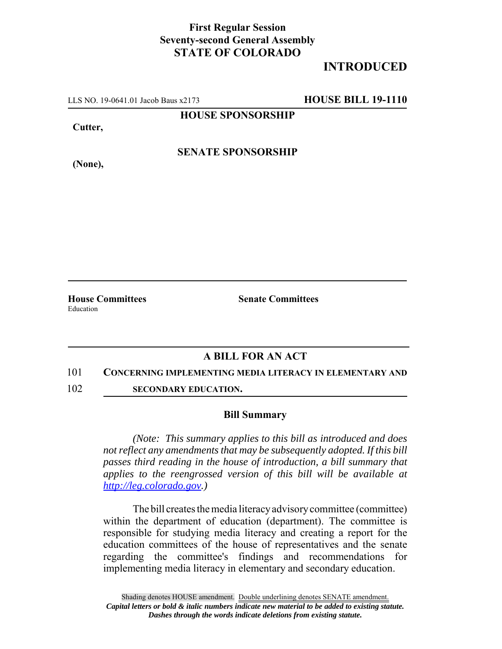## **First Regular Session Seventy-second General Assembly STATE OF COLORADO**

# **INTRODUCED**

LLS NO. 19-0641.01 Jacob Baus x2173 **HOUSE BILL 19-1110**

**HOUSE SPONSORSHIP**

**Cutter,**

**(None),**

**SENATE SPONSORSHIP**

Education

**House Committees Senate Committees** 

### **A BILL FOR AN ACT**

#### 101 **CONCERNING IMPLEMENTING MEDIA LITERACY IN ELEMENTARY AND**

102 **SECONDARY EDUCATION.**

#### **Bill Summary**

*(Note: This summary applies to this bill as introduced and does not reflect any amendments that may be subsequently adopted. If this bill passes third reading in the house of introduction, a bill summary that applies to the reengrossed version of this bill will be available at http://leg.colorado.gov.)*

The bill creates the media literacy advisory committee (committee) within the department of education (department). The committee is responsible for studying media literacy and creating a report for the education committees of the house of representatives and the senate regarding the committee's findings and recommendations for implementing media literacy in elementary and secondary education.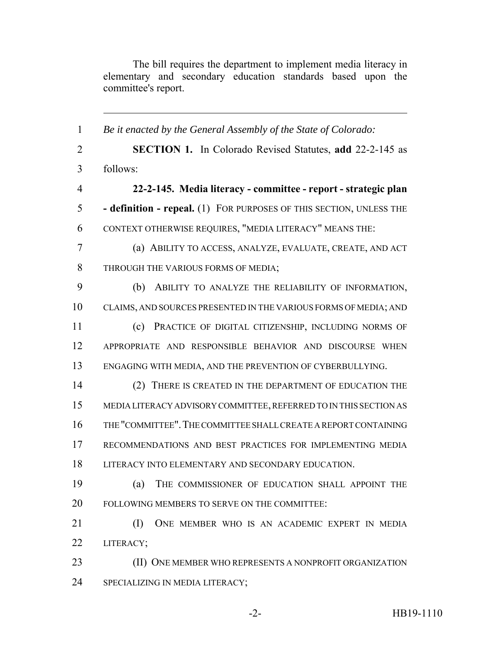The bill requires the department to implement media literacy in elementary and secondary education standards based upon the committee's report.

 *Be it enacted by the General Assembly of the State of Colorado:* **SECTION 1.** In Colorado Revised Statutes, **add** 22-2-145 as follows: **22-2-145. Media literacy - committee - report - strategic plan - definition - repeal.** (1) FOR PURPOSES OF THIS SECTION, UNLESS THE CONTEXT OTHERWISE REQUIRES, "MEDIA LITERACY" MEANS THE: (a) ABILITY TO ACCESS, ANALYZE, EVALUATE, CREATE, AND ACT THROUGH THE VARIOUS FORMS OF MEDIA; (b) ABILITY TO ANALYZE THE RELIABILITY OF INFORMATION, CLAIMS, AND SOURCES PRESENTED IN THE VARIOUS FORMS OF MEDIA; AND (c) PRACTICE OF DIGITAL CITIZENSHIP, INCLUDING NORMS OF APPROPRIATE AND RESPONSIBLE BEHAVIOR AND DISCOURSE WHEN ENGAGING WITH MEDIA, AND THE PREVENTION OF CYBERBULLYING. (2) THERE IS CREATED IN THE DEPARTMENT OF EDUCATION THE MEDIA LITERACY ADVISORY COMMITTEE, REFERRED TO IN THIS SECTION AS THE "COMMITTEE".THE COMMITTEE SHALL CREATE A REPORT CONTAINING RECOMMENDATIONS AND BEST PRACTICES FOR IMPLEMENTING MEDIA LITERACY INTO ELEMENTARY AND SECONDARY EDUCATION. (a) THE COMMISSIONER OF EDUCATION SHALL APPOINT THE FOLLOWING MEMBERS TO SERVE ON THE COMMITTEE: (I) ONE MEMBER WHO IS AN ACADEMIC EXPERT IN MEDIA LITERACY; **(II) ONE MEMBER WHO REPRESENTS A NONPROFIT ORGANIZATION** SPECIALIZING IN MEDIA LITERACY;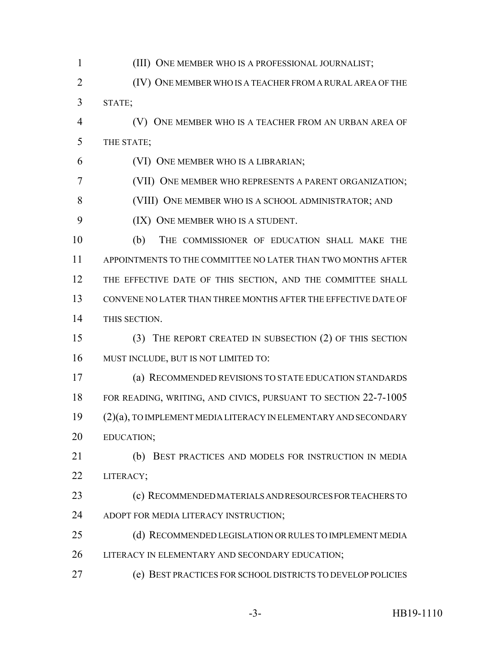(III) ONE MEMBER WHO IS A PROFESSIONAL JOURNALIST; (IV) ONE MEMBER WHO IS A TEACHER FROM A RURAL AREA OF THE STATE; (V) ONE MEMBER WHO IS A TEACHER FROM AN URBAN AREA OF THE STATE; (VI) ONE MEMBER WHO IS A LIBRARIAN; (VII) ONE MEMBER WHO REPRESENTS A PARENT ORGANIZATION; (VIII) ONE MEMBER WHO IS A SCHOOL ADMINISTRATOR; AND 9 (IX) ONE MEMBER WHO IS A STUDENT. (b) THE COMMISSIONER OF EDUCATION SHALL MAKE THE APPOINTMENTS TO THE COMMITTEE NO LATER THAN TWO MONTHS AFTER 12 THE EFFECTIVE DATE OF THIS SECTION, AND THE COMMITTEE SHALL CONVENE NO LATER THAN THREE MONTHS AFTER THE EFFECTIVE DATE OF THIS SECTION. (3) THE REPORT CREATED IN SUBSECTION (2) OF THIS SECTION MUST INCLUDE, BUT IS NOT LIMITED TO: (a) RECOMMENDED REVISIONS TO STATE EDUCATION STANDARDS FOR READING, WRITING, AND CIVICS, PURSUANT TO SECTION 22-7-1005 (2)(a), TO IMPLEMENT MEDIA LITERACY IN ELEMENTARY AND SECONDARY EDUCATION; (b) BEST PRACTICES AND MODELS FOR INSTRUCTION IN MEDIA LITERACY; (c) RECOMMENDED MATERIALS AND RESOURCES FOR TEACHERS TO ADOPT FOR MEDIA LITERACY INSTRUCTION; (d) RECOMMENDED LEGISLATION OR RULES TO IMPLEMENT MEDIA 26 LITERACY IN ELEMENTARY AND SECONDARY EDUCATION; (e) BEST PRACTICES FOR SCHOOL DISTRICTS TO DEVELOP POLICIES